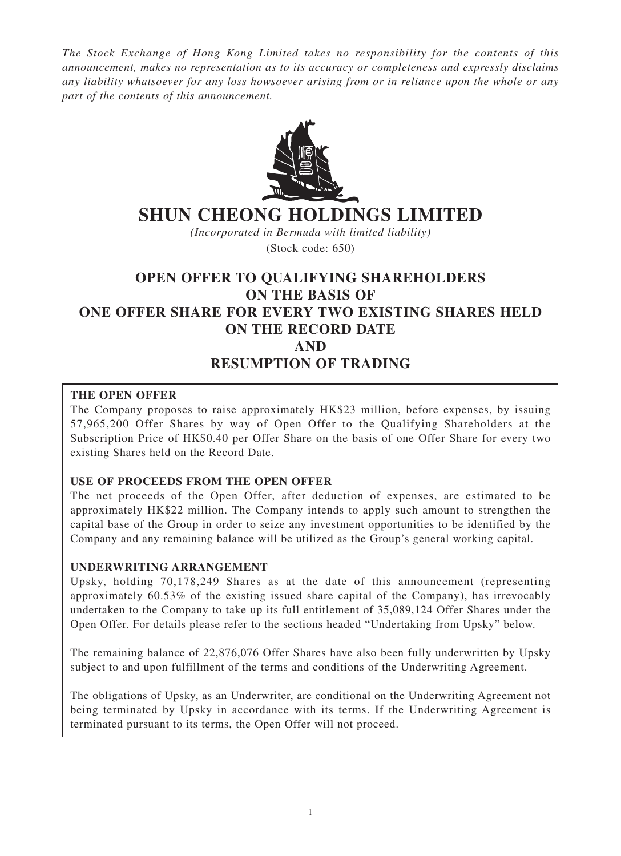*The Stock Exchange of Hong Kong Limited takes no responsibility for the contents of this announcement, makes no representation as to its accuracy or completeness and expressly disclaims any liability whatsoever for any loss howsoever arising from or in reliance upon the whole or any part of the contents of this announcement.*



# **SHUN CHEONG HOLDINGS LIMITED**

*(Incorporated in Bermuda with limited liability)*

(Stock code: 650)

# **OPEN OFFER TO QUALIFYING SHAREHOLDERS ON THE BASIS OF ONE OFFER SHARE FOR EVERY TWO EXISTING SHARES HELD ON THE RECORD DATE AND RESUMPTION OF TRADING**

#### **THE OPEN OFFER**

The Company proposes to raise approximately HK\$23 million, before expenses, by issuing 57,965,200 Offer Shares by way of Open Offer to the Qualifying Shareholders at the Subscription Price of HK\$0.40 per Offer Share on the basis of one Offer Share for every two existing Shares held on the Record Date.

#### **USE OF PROCEEDS FROM THE OPEN OFFER**

The net proceeds of the Open Offer, after deduction of expenses, are estimated to be approximately HK\$22 million. The Company intends to apply such amount to strengthen the capital base of the Group in order to seize any investment opportunities to be identified by the Company and any remaining balance will be utilized as the Group's general working capital.

#### **UNDERWRITING ARRANGEMENT**

Upsky, holding 70,178,249 Shares as at the date of this announcement (representing approximately 60.53% of the existing issued share capital of the Company), has irrevocably undertaken to the Company to take up its full entitlement of 35,089,124 Offer Shares under the Open Offer. For details please refer to the sections headed "Undertaking from Upsky" below.

The remaining balance of 22,876,076 Offer Shares have also been fully underwritten by Upsky subject to and upon fulfillment of the terms and conditions of the Underwriting Agreement.

The obligations of Upsky, as an Underwriter, are conditional on the Underwriting Agreement not being terminated by Upsky in accordance with its terms. If the Underwriting Agreement is terminated pursuant to its terms, the Open Offer will not proceed.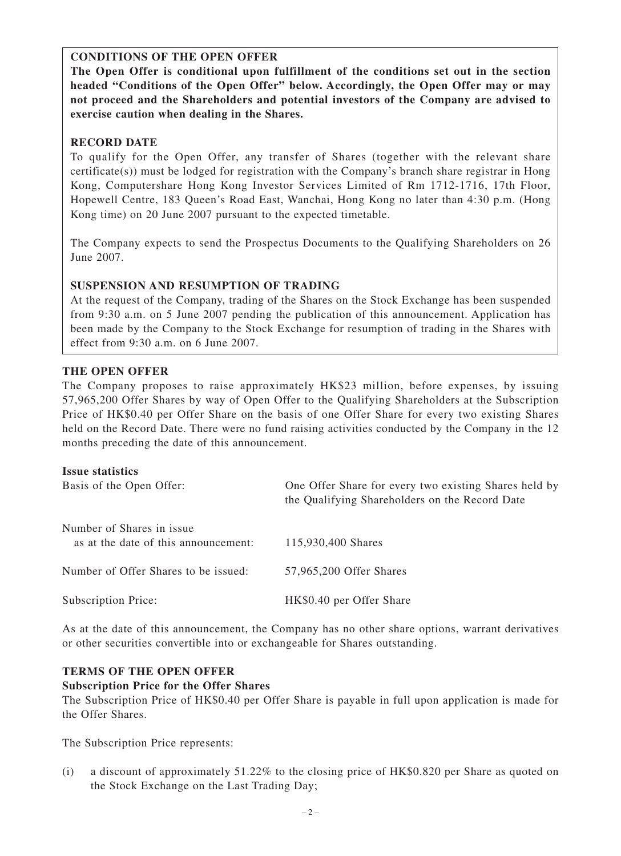# **CONDITIONS OF THE OPEN OFFER**

**The Open Offer is conditional upon fulfillment of the conditions set out in the section headed "Conditions of the Open Offer" below. Accordingly, the Open Offer may or may not proceed and the Shareholders and potential investors of the Company are advised to exercise caution when dealing in the Shares.**

# **RECORD DATE**

To qualify for the Open Offer, any transfer of Shares (together with the relevant share certificate(s)) must be lodged for registration with the Company's branch share registrar in Hong Kong, Computershare Hong Kong Investor Services Limited of Rm 1712-1716, 17th Floor, Hopewell Centre, 183 Queen's Road East, Wanchai, Hong Kong no later than 4:30 p.m. (Hong Kong time) on 20 June 2007 pursuant to the expected timetable.

The Company expects to send the Prospectus Documents to the Qualifying Shareholders on 26 June 2007.

# **SUSPENSION AND RESUMPTION OF TRADING**

At the request of the Company, trading of the Shares on the Stock Exchange has been suspended from 9:30 a.m. on 5 June 2007 pending the publication of this announcement. Application has been made by the Company to the Stock Exchange for resumption of trading in the Shares with effect from 9:30 a.m. on 6 June 2007.

# **THE OPEN OFFER**

The Company proposes to raise approximately HK\$23 million, before expenses, by issuing 57,965,200 Offer Shares by way of Open Offer to the Qualifying Shareholders at the Subscription Price of HK\$0.40 per Offer Share on the basis of one Offer Share for every two existing Shares held on the Record Date. There were no fund raising activities conducted by the Company in the 12 months preceding the date of this announcement.

#### **Issue statistics**

| Basis of the Open Offer:                                          | One Offer Share for every two existing Shares held by<br>the Qualifying Shareholders on the Record Date |
|-------------------------------------------------------------------|---------------------------------------------------------------------------------------------------------|
| Number of Shares in issue<br>as at the date of this announcement: | 115,930,400 Shares                                                                                      |
| Number of Offer Shares to be issued:                              | 57,965,200 Offer Shares                                                                                 |
| <b>Subscription Price:</b>                                        | HK\$0.40 per Offer Share                                                                                |

As at the date of this announcement, the Company has no other share options, warrant derivatives or other securities convertible into or exchangeable for Shares outstanding.

# **TERMS OF THE OPEN OFFER**

# **Subscription Price for the Offer Shares**

The Subscription Price of HK\$0.40 per Offer Share is payable in full upon application is made for the Offer Shares.

The Subscription Price represents:

(i) a discount of approximately 51.22% to the closing price of HK\$0.820 per Share as quoted on the Stock Exchange on the Last Trading Day;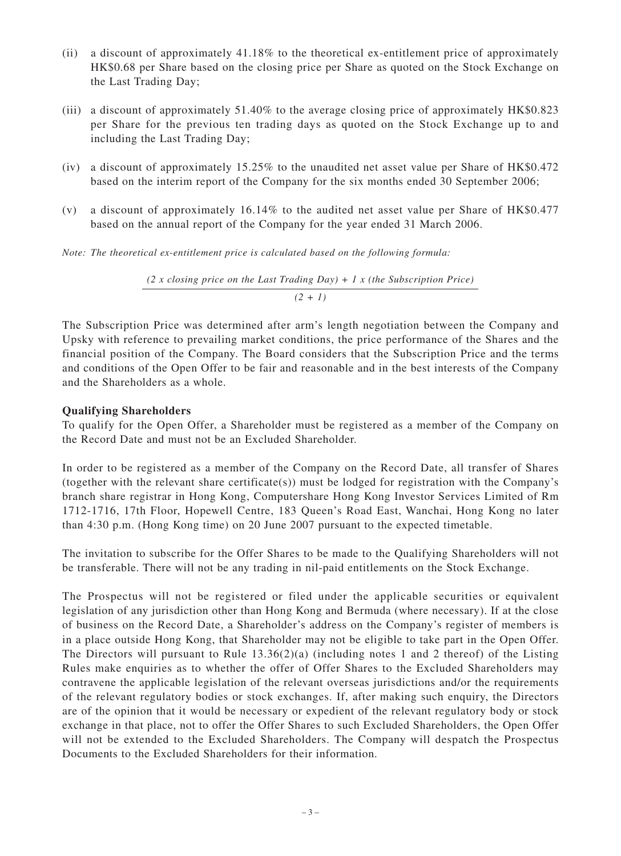- (ii) a discount of approximately 41.18% to the theoretical ex-entitlement price of approximately HK\$0.68 per Share based on the closing price per Share as quoted on the Stock Exchange on the Last Trading Day;
- (iii) a discount of approximately 51.40% to the average closing price of approximately HK\$0.823 per Share for the previous ten trading days as quoted on the Stock Exchange up to and including the Last Trading Day;
- (iv) a discount of approximately 15.25% to the unaudited net asset value per Share of HK\$0.472 based on the interim report of the Company for the six months ended 30 September 2006;
- (v) a discount of approximately 16.14% to the audited net asset value per Share of HK\$0.477 based on the annual report of the Company for the year ended 31 March 2006.

*Note: The theoretical ex-entitlement price is calculated based on the following formula:*

*(2 x closing price on the Last Trading Day) + 1 x (the Subscription Price) (2 + 1)*

The Subscription Price was determined after arm's length negotiation between the Company and Upsky with reference to prevailing market conditions, the price performance of the Shares and the financial position of the Company. The Board considers that the Subscription Price and the terms and conditions of the Open Offer to be fair and reasonable and in the best interests of the Company and the Shareholders as a whole.

#### **Qualifying Shareholders**

To qualify for the Open Offer, a Shareholder must be registered as a member of the Company on the Record Date and must not be an Excluded Shareholder.

In order to be registered as a member of the Company on the Record Date, all transfer of Shares (together with the relevant share certificate(s)) must be lodged for registration with the Company's branch share registrar in Hong Kong, Computershare Hong Kong Investor Services Limited of Rm 1712-1716, 17th Floor, Hopewell Centre, 183 Queen's Road East, Wanchai, Hong Kong no later than 4:30 p.m. (Hong Kong time) on 20 June 2007 pursuant to the expected timetable.

The invitation to subscribe for the Offer Shares to be made to the Qualifying Shareholders will not be transferable. There will not be any trading in nil-paid entitlements on the Stock Exchange.

The Prospectus will not be registered or filed under the applicable securities or equivalent legislation of any jurisdiction other than Hong Kong and Bermuda (where necessary). If at the close of business on the Record Date, a Shareholder's address on the Company's register of members is in a place outside Hong Kong, that Shareholder may not be eligible to take part in the Open Offer. The Directors will pursuant to Rule 13.36(2)(a) (including notes 1 and 2 thereof) of the Listing Rules make enquiries as to whether the offer of Offer Shares to the Excluded Shareholders may contravene the applicable legislation of the relevant overseas jurisdictions and/or the requirements of the relevant regulatory bodies or stock exchanges. If, after making such enquiry, the Directors are of the opinion that it would be necessary or expedient of the relevant regulatory body or stock exchange in that place, not to offer the Offer Shares to such Excluded Shareholders, the Open Offer will not be extended to the Excluded Shareholders. The Company will despatch the Prospectus Documents to the Excluded Shareholders for their information.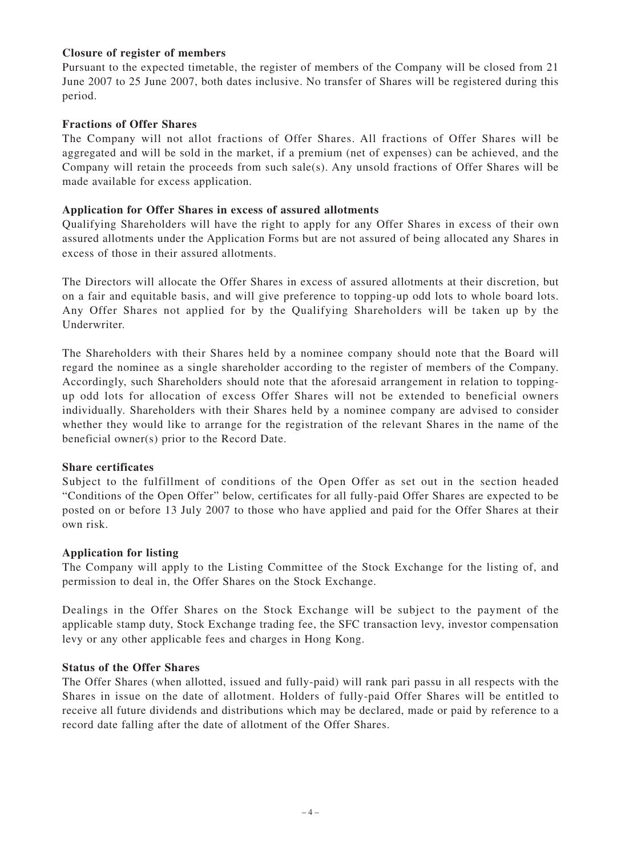#### **Closure of register of members**

Pursuant to the expected timetable, the register of members of the Company will be closed from 21 June 2007 to 25 June 2007, both dates inclusive. No transfer of Shares will be registered during this period.

#### **Fractions of Offer Shares**

The Company will not allot fractions of Offer Shares. All fractions of Offer Shares will be aggregated and will be sold in the market, if a premium (net of expenses) can be achieved, and the Company will retain the proceeds from such sale(s). Any unsold fractions of Offer Shares will be made available for excess application.

#### **Application for Offer Shares in excess of assured allotments**

Qualifying Shareholders will have the right to apply for any Offer Shares in excess of their own assured allotments under the Application Forms but are not assured of being allocated any Shares in excess of those in their assured allotments.

The Directors will allocate the Offer Shares in excess of assured allotments at their discretion, but on a fair and equitable basis, and will give preference to topping-up odd lots to whole board lots. Any Offer Shares not applied for by the Qualifying Shareholders will be taken up by the Underwriter.

The Shareholders with their Shares held by a nominee company should note that the Board will regard the nominee as a single shareholder according to the register of members of the Company. Accordingly, such Shareholders should note that the aforesaid arrangement in relation to toppingup odd lots for allocation of excess Offer Shares will not be extended to beneficial owners individually. Shareholders with their Shares held by a nominee company are advised to consider whether they would like to arrange for the registration of the relevant Shares in the name of the beneficial owner(s) prior to the Record Date.

#### **Share certificates**

Subject to the fulfillment of conditions of the Open Offer as set out in the section headed "Conditions of the Open Offer" below, certificates for all fully-paid Offer Shares are expected to be posted on or before 13 July 2007 to those who have applied and paid for the Offer Shares at their own risk.

#### **Application for listing**

The Company will apply to the Listing Committee of the Stock Exchange for the listing of, and permission to deal in, the Offer Shares on the Stock Exchange.

Dealings in the Offer Shares on the Stock Exchange will be subject to the payment of the applicable stamp duty, Stock Exchange trading fee, the SFC transaction levy, investor compensation levy or any other applicable fees and charges in Hong Kong.

#### **Status of the Offer Shares**

The Offer Shares (when allotted, issued and fully-paid) will rank pari passu in all respects with the Shares in issue on the date of allotment. Holders of fully-paid Offer Shares will be entitled to receive all future dividends and distributions which may be declared, made or paid by reference to a record date falling after the date of allotment of the Offer Shares.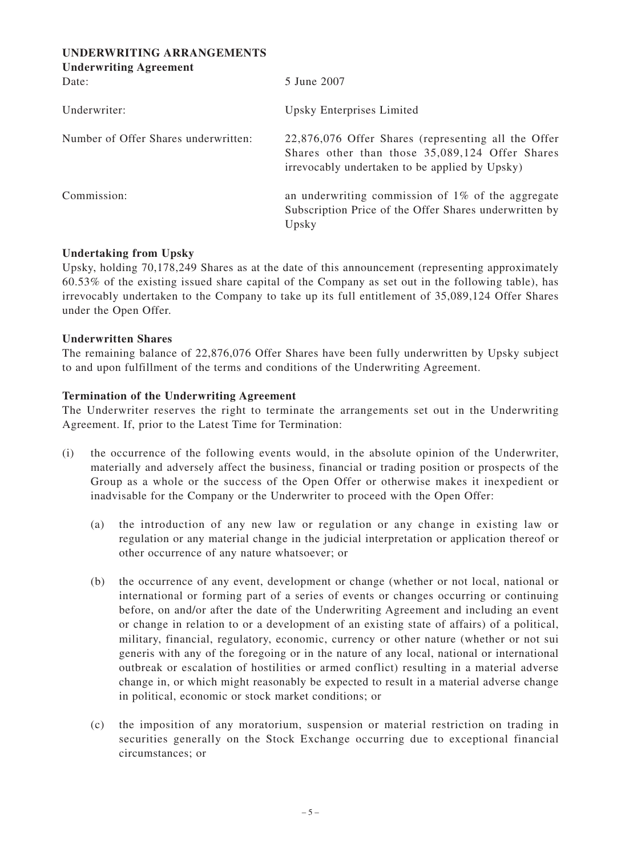| UNDERWRITING ARRANGEMENTS<br><b>Underwriting Agreement</b> |                                                                                                                                                          |
|------------------------------------------------------------|----------------------------------------------------------------------------------------------------------------------------------------------------------|
| Date:                                                      | 5 June 2007                                                                                                                                              |
| Underwriter:                                               | Upsky Enterprises Limited                                                                                                                                |
| Number of Offer Shares underwritten:                       | 22,876,076 Offer Shares (representing all the Offer<br>Shares other than those 35,089,124 Offer Shares<br>irrevocably undertaken to be applied by Upsky) |
| Commission:                                                | an underwriting commission of $1\%$ of the aggregate<br>Subscription Price of the Offer Shares underwritten by<br>Upsky                                  |

#### **Undertaking from Upsky**

Upsky, holding 70,178,249 Shares as at the date of this announcement (representing approximately 60.53% of the existing issued share capital of the Company as set out in the following table), has irrevocably undertaken to the Company to take up its full entitlement of 35,089,124 Offer Shares under the Open Offer.

#### **Underwritten Shares**

The remaining balance of 22,876,076 Offer Shares have been fully underwritten by Upsky subject to and upon fulfillment of the terms and conditions of the Underwriting Agreement.

#### **Termination of the Underwriting Agreement**

The Underwriter reserves the right to terminate the arrangements set out in the Underwriting Agreement. If, prior to the Latest Time for Termination:

- (i) the occurrence of the following events would, in the absolute opinion of the Underwriter, materially and adversely affect the business, financial or trading position or prospects of the Group as a whole or the success of the Open Offer or otherwise makes it inexpedient or inadvisable for the Company or the Underwriter to proceed with the Open Offer:
	- (a) the introduction of any new law or regulation or any change in existing law or regulation or any material change in the judicial interpretation or application thereof or other occurrence of any nature whatsoever; or
	- (b) the occurrence of any event, development or change (whether or not local, national or international or forming part of a series of events or changes occurring or continuing before, on and/or after the date of the Underwriting Agreement and including an event or change in relation to or a development of an existing state of affairs) of a political, military, financial, regulatory, economic, currency or other nature (whether or not sui generis with any of the foregoing or in the nature of any local, national or international outbreak or escalation of hostilities or armed conflict) resulting in a material adverse change in, or which might reasonably be expected to result in a material adverse change in political, economic or stock market conditions; or
	- (c) the imposition of any moratorium, suspension or material restriction on trading in securities generally on the Stock Exchange occurring due to exceptional financial circumstances; or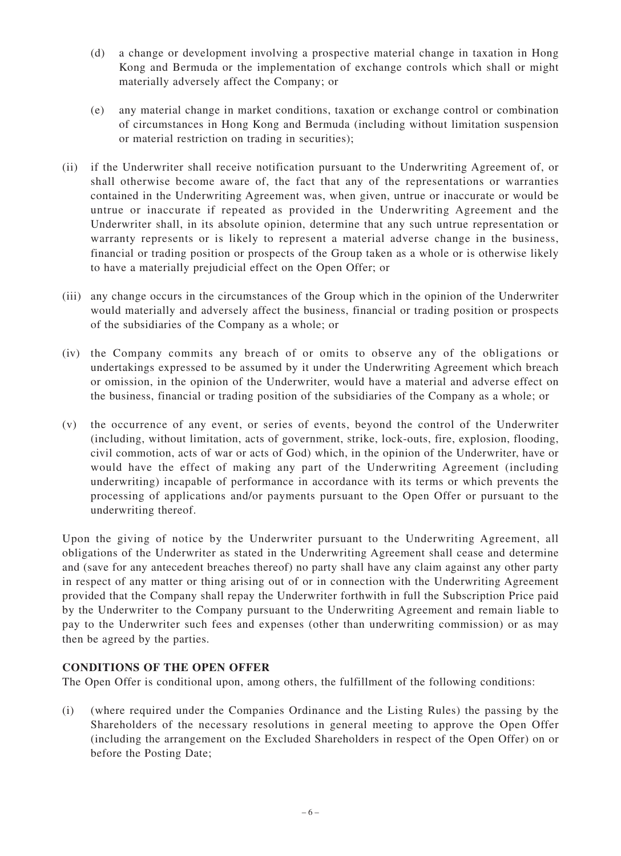- (d) a change or development involving a prospective material change in taxation in Hong Kong and Bermuda or the implementation of exchange controls which shall or might materially adversely affect the Company; or
- (e) any material change in market conditions, taxation or exchange control or combination of circumstances in Hong Kong and Bermuda (including without limitation suspension or material restriction on trading in securities);
- (ii) if the Underwriter shall receive notification pursuant to the Underwriting Agreement of, or shall otherwise become aware of, the fact that any of the representations or warranties contained in the Underwriting Agreement was, when given, untrue or inaccurate or would be untrue or inaccurate if repeated as provided in the Underwriting Agreement and the Underwriter shall, in its absolute opinion, determine that any such untrue representation or warranty represents or is likely to represent a material adverse change in the business, financial or trading position or prospects of the Group taken as a whole or is otherwise likely to have a materially prejudicial effect on the Open Offer; or
- (iii) any change occurs in the circumstances of the Group which in the opinion of the Underwriter would materially and adversely affect the business, financial or trading position or prospects of the subsidiaries of the Company as a whole; or
- (iv) the Company commits any breach of or omits to observe any of the obligations or undertakings expressed to be assumed by it under the Underwriting Agreement which breach or omission, in the opinion of the Underwriter, would have a material and adverse effect on the business, financial or trading position of the subsidiaries of the Company as a whole; or
- (v) the occurrence of any event, or series of events, beyond the control of the Underwriter (including, without limitation, acts of government, strike, lock-outs, fire, explosion, flooding, civil commotion, acts of war or acts of God) which, in the opinion of the Underwriter, have or would have the effect of making any part of the Underwriting Agreement (including underwriting) incapable of performance in accordance with its terms or which prevents the processing of applications and/or payments pursuant to the Open Offer or pursuant to the underwriting thereof.

Upon the giving of notice by the Underwriter pursuant to the Underwriting Agreement, all obligations of the Underwriter as stated in the Underwriting Agreement shall cease and determine and (save for any antecedent breaches thereof) no party shall have any claim against any other party in respect of any matter or thing arising out of or in connection with the Underwriting Agreement provided that the Company shall repay the Underwriter forthwith in full the Subscription Price paid by the Underwriter to the Company pursuant to the Underwriting Agreement and remain liable to pay to the Underwriter such fees and expenses (other than underwriting commission) or as may then be agreed by the parties.

# **CONDITIONS OF THE OPEN OFFER**

The Open Offer is conditional upon, among others, the fulfillment of the following conditions:

(i) (where required under the Companies Ordinance and the Listing Rules) the passing by the Shareholders of the necessary resolutions in general meeting to approve the Open Offer (including the arrangement on the Excluded Shareholders in respect of the Open Offer) on or before the Posting Date;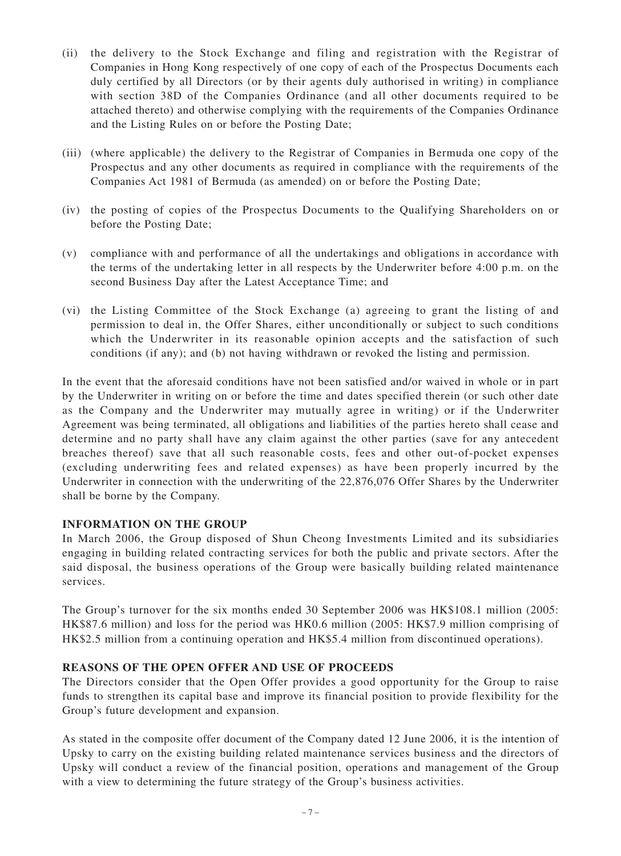- (ii) the delivery to the Stock Exchange and filing and registration with the Registrar of Companies in Hong Kong respectively of one copy of each of the Prospectus Documents each duly certified by all Directors (or by their agents duly authorised in writing) in compliance with section 38D of the Companies Ordinance (and all other documents required to be attached thereto) and otherwise complying with the requirements of the Companies Ordinance and the Listing Rules on or before the Posting Date;
- (iii) (where applicable) the delivery to the Registrar of Companies in Bermuda one copy of the Prospectus and any other documents as required in compliance with the requirements of the Companies Act 1981 of Bermuda (as amended) on or before the Posting Date;
- (iv) the posting of copies of the Prospectus Documents to the Qualifying Shareholders on or before the Posting Date;
- (v) compliance with and performance of all the undertakings and obligations in accordance with the terms of the undertaking letter in all respects by the Underwriter before 4:00 p.m. on the second Business Day after the Latest Acceptance Time; and
- (vi) the Listing Committee of the Stock Exchange (a) agreeing to grant the listing of and permission to deal in, the Offer Shares, either unconditionally or subject to such conditions which the Underwriter in its reasonable opinion accepts and the satisfaction of such conditions (if any); and (b) not having withdrawn or revoked the listing and permission.

In the event that the aforesaid conditions have not been satisfied and/or waived in whole or in part by the Underwriter in writing on or before the time and dates specified therein (or such other date as the Company and the Underwriter may mutually agree in writing) or if the Underwriter Agreement was being terminated, all obligations and liabilities of the parties hereto shall cease and determine and no party shall have any claim against the other parties (save for any antecedent breaches thereof) save that all such reasonable costs, fees and other out-of-pocket expenses (excluding underwriting fees and related expenses) as have been properly incurred by the Underwriter in connection with the underwriting of the 22,876,076 Offer Shares by the Underwriter shall be borne by the Company.

#### **INFORMATION ON THE GROUP**

In March 2006, the Group disposed of Shun Cheong Investments Limited and its subsidiaries engaging in building related contracting services for both the public and private sectors. After the said disposal, the business operations of the Group were basically building related maintenance services.

The Group's turnover for the six months ended 30 September 2006 was HK\$108.1 million (2005: HK\$87.6 million) and loss for the period was HK0.6 million (2005: HK\$7.9 million comprising of HK\$2.5 million from a continuing operation and HK\$5.4 million from discontinued operations).

#### **REASONS OF THE OPEN OFFER AND USE OF PROCEEDS**

The Directors consider that the Open Offer provides a good opportunity for the Group to raise funds to strengthen its capital base and improve its financial position to provide flexibility for the Group's future development and expansion.

As stated in the composite offer document of the Company dated 12 June 2006, it is the intention of Upsky to carry on the existing building related maintenance services business and the directors of Upsky will conduct a review of the financial position, operations and management of the Group with a view to determining the future strategy of the Group's business activities.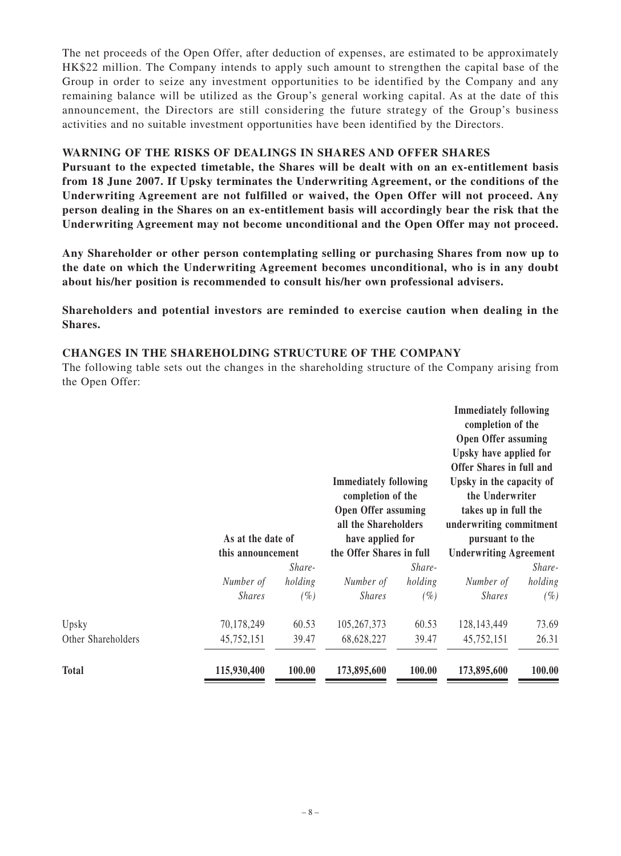The net proceeds of the Open Offer, after deduction of expenses, are estimated to be approximately HK\$22 million. The Company intends to apply such amount to strengthen the capital base of the Group in order to seize any investment opportunities to be identified by the Company and any remaining balance will be utilized as the Group's general working capital. As at the date of this announcement, the Directors are still considering the future strategy of the Group's business activities and no suitable investment opportunities have been identified by the Directors.

#### **WARNING OF THE RISKS OF DEALINGS IN SHARES AND OFFER SHARES**

**Pursuant to the expected timetable, the Shares will be dealt with on an ex-entitlement basis from 18 June 2007. If Upsky terminates the Underwriting Agreement, or the conditions of the Underwriting Agreement are not fulfilled or waived, the Open Offer will not proceed. Any person dealing in the Shares on an ex-entitlement basis will accordingly bear the risk that the Underwriting Agreement may not become unconditional and the Open Offer may not proceed.**

**Any Shareholder or other person contemplating selling or purchasing Shares from now up to the date on which the Underwriting Agreement becomes unconditional, who is in any doubt about his/her position is recommended to consult his/her own professional advisers.**

**Shareholders and potential investors are reminded to exercise caution when dealing in the Shares.**

#### **CHANGES IN THE SHAREHOLDING STRUCTURE OF THE COMPANY**

The following table sets out the changes in the shareholding structure of the Company arising from the Open Offer:

|                    | As at the date of<br>this announcement |         | <b>Immediately following</b><br>completion of the<br><b>Open Offer assuming</b><br>all the Shareholders<br>have applied for<br>the Offer Shares in full |         | <b>Immediately following</b><br>completion of the<br><b>Open Offer assuming</b><br>Upsky have applied for<br>Offer Shares in full and<br>Upsky in the capacity of<br>the Underwriter<br>takes up in full the<br>underwriting commitment<br>pursuant to the<br><b>Underwriting Agreement</b> |         |
|--------------------|----------------------------------------|---------|---------------------------------------------------------------------------------------------------------------------------------------------------------|---------|---------------------------------------------------------------------------------------------------------------------------------------------------------------------------------------------------------------------------------------------------------------------------------------------|---------|
|                    |                                        |         |                                                                                                                                                         |         |                                                                                                                                                                                                                                                                                             |         |
|                    |                                        | Share-  |                                                                                                                                                         | Share-  |                                                                                                                                                                                                                                                                                             | Share-  |
|                    | Number of                              | holding | Number of                                                                                                                                               | holding | Number of                                                                                                                                                                                                                                                                                   | holding |
|                    | <b>Shares</b>                          | $(\%)$  | <b>Shares</b>                                                                                                                                           | $(\%)$  | <b>Shares</b>                                                                                                                                                                                                                                                                               | $(\%)$  |
| Upsky              | 70,178,249                             | 60.53   | 105,267,373                                                                                                                                             | 60.53   | 128, 143, 449                                                                                                                                                                                                                                                                               | 73.69   |
| Other Shareholders | 45,752,151                             | 39.47   | 68,628,227                                                                                                                                              | 39.47   | 45,752,151                                                                                                                                                                                                                                                                                  | 26.31   |
| <b>Total</b>       | 115,930,400                            | 100.00  | 173,895,600                                                                                                                                             | 100.00  | 173,895,600                                                                                                                                                                                                                                                                                 | 100.00  |
|                    |                                        |         |                                                                                                                                                         |         |                                                                                                                                                                                                                                                                                             |         |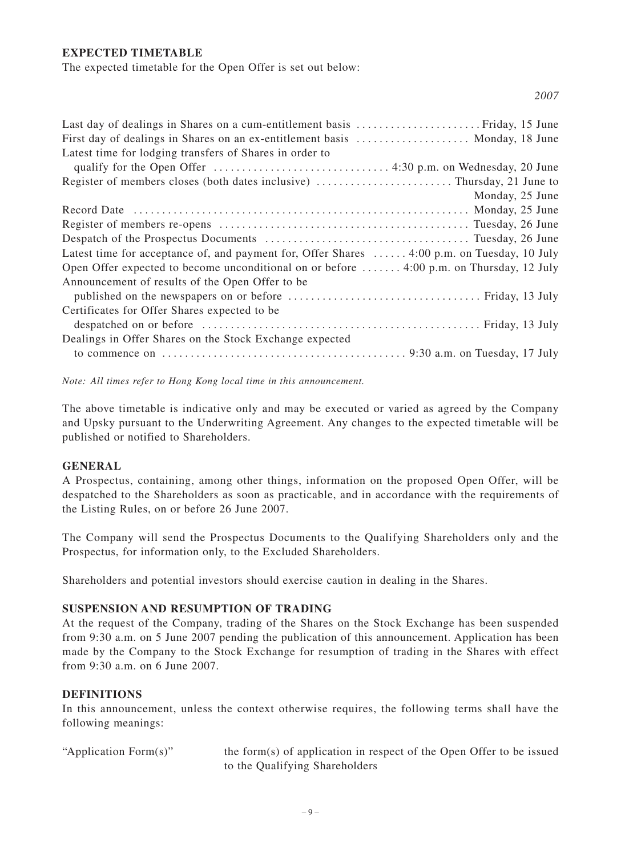#### **EXPECTED TIMETABLE**

The expected timetable for the Open Offer is set out below:

| First day of dealings in Shares on an ex-entitlement basis  Monday, 18 June                 |
|---------------------------------------------------------------------------------------------|
| Latest time for lodging transfers of Shares in order to                                     |
|                                                                                             |
|                                                                                             |
| Monday, 25 June                                                                             |
|                                                                                             |
|                                                                                             |
|                                                                                             |
| Latest time for acceptance of, and payment for, Offer Shares  4:00 p.m. on Tuesday, 10 July |
| Open Offer expected to become unconditional on or before  4:00 p.m. on Thursday, 12 July    |
| Announcement of results of the Open Offer to be                                             |
|                                                                                             |
| Certificates for Offer Shares expected to be                                                |
|                                                                                             |
| Dealings in Offer Shares on the Stock Exchange expected                                     |
|                                                                                             |
|                                                                                             |

*Note: All times refer to Hong Kong local time in this announcement.*

The above timetable is indicative only and may be executed or varied as agreed by the Company and Upsky pursuant to the Underwriting Agreement. Any changes to the expected timetable will be published or notified to Shareholders.

#### **GENERAL**

A Prospectus, containing, among other things, information on the proposed Open Offer, will be despatched to the Shareholders as soon as practicable, and in accordance with the requirements of the Listing Rules, on or before 26 June 2007.

The Company will send the Prospectus Documents to the Qualifying Shareholders only and the Prospectus, for information only, to the Excluded Shareholders.

Shareholders and potential investors should exercise caution in dealing in the Shares.

#### **SUSPENSION AND RESUMPTION OF TRADING**

At the request of the Company, trading of the Shares on the Stock Exchange has been suspended from 9:30 a.m. on 5 June 2007 pending the publication of this announcement. Application has been made by the Company to the Stock Exchange for resumption of trading in the Shares with effect from 9:30 a.m. on 6 June 2007.

#### **DEFINITIONS**

In this announcement, unless the context otherwise requires, the following terms shall have the following meanings:

"Application Form(s)" the form(s) of application in respect of the Open Offer to be issued to the Qualifying Shareholders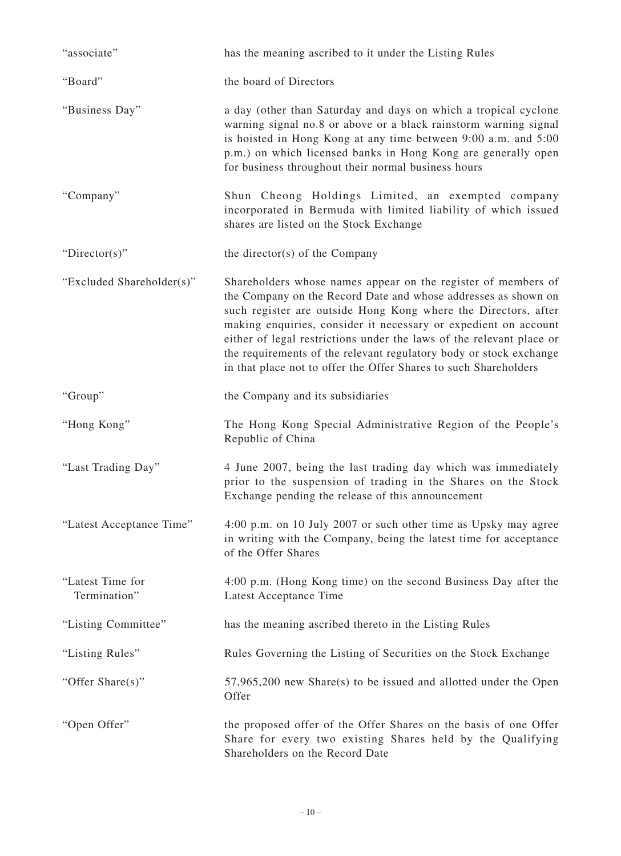| "associate"                      | has the meaning ascribed to it under the Listing Rules                                                                                                                                                                                                                                                                                                                                                                                                                                 |
|----------------------------------|----------------------------------------------------------------------------------------------------------------------------------------------------------------------------------------------------------------------------------------------------------------------------------------------------------------------------------------------------------------------------------------------------------------------------------------------------------------------------------------|
| "Board"                          | the board of Directors                                                                                                                                                                                                                                                                                                                                                                                                                                                                 |
| "Business Day"                   | a day (other than Saturday and days on which a tropical cyclone<br>warning signal no.8 or above or a black rainstorm warning signal<br>is hoisted in Hong Kong at any time between 9:00 a.m. and 5:00<br>p.m.) on which licensed banks in Hong Kong are generally open<br>for business throughout their normal business hours                                                                                                                                                          |
| "Company"                        | Shun Cheong Holdings Limited, an exempted company<br>incorporated in Bermuda with limited liability of which issued<br>shares are listed on the Stock Exchange                                                                                                                                                                                                                                                                                                                         |
| "Director(s)"                    | the director(s) of the Company                                                                                                                                                                                                                                                                                                                                                                                                                                                         |
| "Excluded Shareholder(s)"        | Shareholders whose names appear on the register of members of<br>the Company on the Record Date and whose addresses as shown on<br>such register are outside Hong Kong where the Directors, after<br>making enquiries, consider it necessary or expedient on account<br>either of legal restrictions under the laws of the relevant place or<br>the requirements of the relevant regulatory body or stock exchange<br>in that place not to offer the Offer Shares to such Shareholders |
| "Group"                          | the Company and its subsidiaries                                                                                                                                                                                                                                                                                                                                                                                                                                                       |
| "Hong Kong"                      | The Hong Kong Special Administrative Region of the People's<br>Republic of China                                                                                                                                                                                                                                                                                                                                                                                                       |
| "Last Trading Day"               | 4 June 2007, being the last trading day which was immediately<br>prior to the suspension of trading in the Shares on the Stock<br>Exchange pending the release of this announcement                                                                                                                                                                                                                                                                                                    |
| "Latest Acceptance Time"         | 4:00 p.m. on 10 July 2007 or such other time as Upsky may agree<br>in writing with the Company, being the latest time for acceptance<br>of the Offer Shares                                                                                                                                                                                                                                                                                                                            |
| "Latest Time for<br>Termination" | 4:00 p.m. (Hong Kong time) on the second Business Day after the<br>Latest Acceptance Time                                                                                                                                                                                                                                                                                                                                                                                              |
| "Listing Committee"              | has the meaning ascribed thereto in the Listing Rules                                                                                                                                                                                                                                                                                                                                                                                                                                  |
| "Listing Rules"                  | Rules Governing the Listing of Securities on the Stock Exchange                                                                                                                                                                                                                                                                                                                                                                                                                        |
| "Offer Share(s)"                 | $57,965,200$ new Share(s) to be issued and allotted under the Open<br>Offer                                                                                                                                                                                                                                                                                                                                                                                                            |
| "Open Offer"                     | the proposed offer of the Offer Shares on the basis of one Offer<br>Share for every two existing Shares held by the Qualifying<br>Shareholders on the Record Date                                                                                                                                                                                                                                                                                                                      |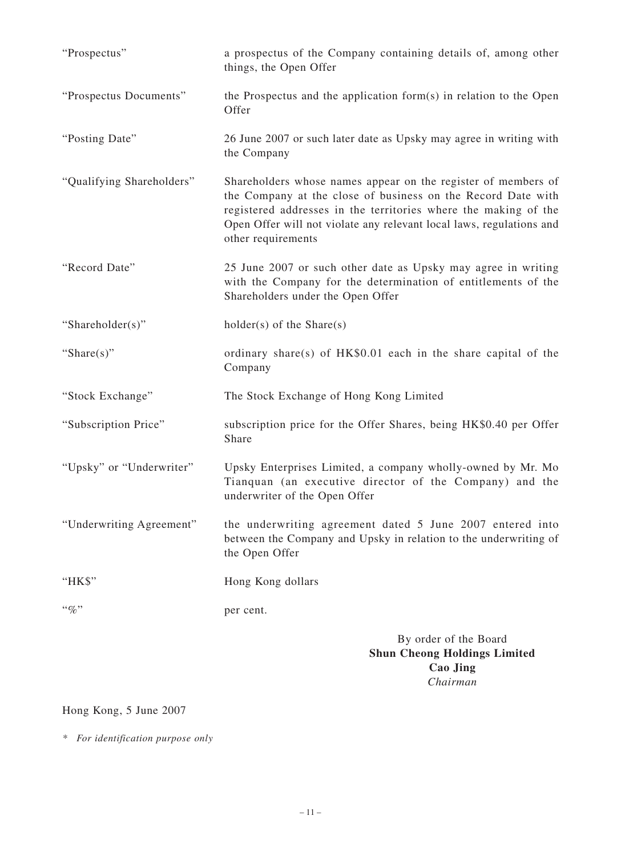| "Prospectus"              | a prospectus of the Company containing details of, among other<br>things, the Open Offer                                                                                                                                                                                                       |
|---------------------------|------------------------------------------------------------------------------------------------------------------------------------------------------------------------------------------------------------------------------------------------------------------------------------------------|
| "Prospectus Documents"    | the Prospectus and the application form $(s)$ in relation to the Open<br>Offer                                                                                                                                                                                                                 |
| "Posting Date"            | 26 June 2007 or such later date as Upsky may agree in writing with<br>the Company                                                                                                                                                                                                              |
| "Qualifying Shareholders" | Shareholders whose names appear on the register of members of<br>the Company at the close of business on the Record Date with<br>registered addresses in the territories where the making of the<br>Open Offer will not violate any relevant local laws, regulations and<br>other requirements |
| "Record Date"             | 25 June 2007 or such other date as Upsky may agree in writing<br>with the Company for the determination of entitlements of the<br>Shareholders under the Open Offer                                                                                                                            |
| "Shareholder(s)"          | $holder(s)$ of the Share(s)                                                                                                                                                                                                                                                                    |
| "Share $(s)$ "            | ordinary share(s) of $HK$0.01$ each in the share capital of the<br>Company                                                                                                                                                                                                                     |
| "Stock Exchange"          | The Stock Exchange of Hong Kong Limited                                                                                                                                                                                                                                                        |
| "Subscription Price"      | subscription price for the Offer Shares, being HK\$0.40 per Offer<br>Share                                                                                                                                                                                                                     |
| "Upsky" or "Underwriter"  | Upsky Enterprises Limited, a company wholly-owned by Mr. Mo<br>Tianquan (an executive director of the Company) and the<br>underwriter of the Open Offer                                                                                                                                        |
| "Underwriting Agreement"  | the underwriting agreement dated 5 June 2007 entered into<br>between the Company and Upsky in relation to the underwriting of<br>the Open Offer                                                                                                                                                |
| "HK\$"                    | Hong Kong dollars                                                                                                                                                                                                                                                                              |
| $``\%"$                   | per cent.                                                                                                                                                                                                                                                                                      |
|                           | By order of the Board<br><b>Shun Cheong Holdings Limited</b><br><b>Cao Jing</b>                                                                                                                                                                                                                |

# Hong Kong, 5 June 2007

*\* For identification purpose only*

*Chairman*